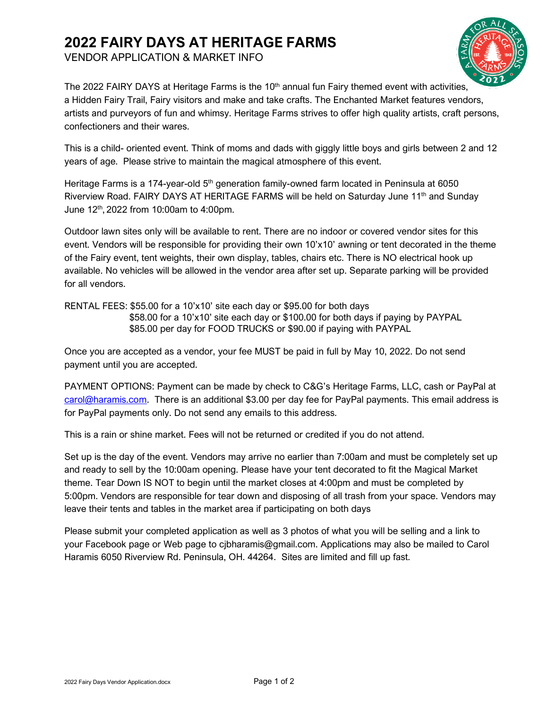## **2022 FAIRY DAYS AT HERITAGE FARMS**

VENDOR APPLICATION & MARKET INFO



The 2022 FAIRY DAYS at Heritage Farms is the 10<sup>th</sup> annual fun Fairy themed event with activities, a Hidden Fairy Trail, Fairy visitors and make and take crafts. The Enchanted Market features vendors, artists and purveyors of fun and whimsy. Heritage Farms strives to offer high quality artists, craft persons, confectioners and their wares.

This is a child- oriented event. Think of moms and dads with giggly little boys and girls between 2 and 12 years of age. Please strive to maintain the magical atmosphere of this event.

Heritage Farms is a 174-year-old 5<sup>th</sup> generation family-owned farm located in Peninsula at 6050 Riverview Road. FAIRY DAYS AT HERITAGE FARMS will be held on Saturday June 11th and Sunday June 12th , 2022 from 10:00am to 4:00pm.

Outdoor lawn sites only will be available to rent. There are no indoor or covered vendor sites for this event. Vendors will be responsible for providing their own 10'x10' awning or tent decorated in the theme of the Fairy event, tent weights, their own display, tables, chairs etc. There is NO electrical hook up available. No vehicles will be allowed in the vendor area after set up. Separate parking will be provided for all vendors.

RENTAL FEES: \$55.00 for a 10'x10' site each day or \$95.00 for both days

 \$58.00 for a 10'x10' site each day or \$100.00 for both days if paying by PAYPAL \$85.00 per day for FOOD TRUCKS or \$90.00 if paying with PAYPAL

Once you are accepted as a vendor, your fee MUST be paid in full by May 10, 2022. Do not send payment until you are accepted.

PAYMENT OPTIONS: Payment can be made by check to C&G's Heritage Farms, LLC, cash or PayPal at [carol@haramis.com.](mailto:carol@haramis.com) There is an additional \$3.00 per day fee for PayPal payments. This email address is for PayPal payments only. Do not send any emails to this address.

This is a rain or shine market. Fees will not be returned or credited if you do not attend.

Set up is the day of the event. Vendors may arrive no earlier than 7:00am and must be completely set up and ready to sell by the 10:00am opening. Please have your tent decorated to fit the Magical Market theme. Tear Down IS NOT to begin until the market closes at 4:00pm and must be completed by 5:00pm. Vendors are responsible for tear down and disposing of all trash from your space. Vendors may leave their tents and tables in the market area if participating on both days

Please submit your completed application as well as 3 photos of what you will be selling and a link to your Facebook page or Web page to cjbharamis@gmail.com. Applications may also be mailed to Carol Haramis 6050 Riverview Rd. Peninsula, OH. 44264. Sites are limited and fill up fast.